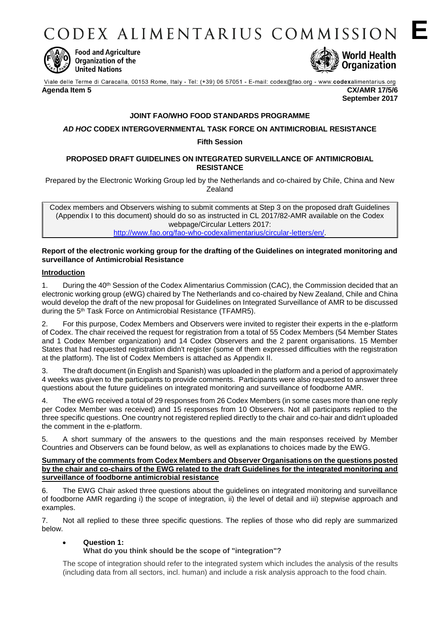CODEX ALIMENTARIUS COMMISSION E



**Food and Agriculture** Organization of the **United Nations** 



**September 2017**

Viale delle Terme di Caracalla, 00153 Rome, Italy - Tel: (+39) 06 57051 - E-mail: codex@fao.org - www.codexalimentarius.org

**Agenda Item 5 CX/AMR 17/5/6**

# **JOINT FAO/WHO FOOD STANDARDS PROGRAMME**

# *AD HOC* **CODEX INTERGOVERNMENTAL TASK FORCE ON ANTIMICROBIAL RESISTANCE**

### **Fifth Session**

### **PROPOSED DRAFT GUIDELINES ON INTEGRATED SURVEILLANCE OF ANTIMICROBIAL RESISTANCE**

Prepared by the Electronic Working Group led by the Netherlands and co-chaired by Chile, China and New **Zealand** 

Codex members and Observers wishing to submit comments at Step 3 on the proposed draft Guidelines (Appendix I to this document) should do so as instructed in CL 2017/82-AMR available on the Codex webpage/Circular Letters 2017: [http://www.fao.org/fao-who-codexalimentarius/circular-letters/en/.](http://www.fao.org/fao-who-codexalimentarius/circular-letters/en/)

### **Report of the electronic working group for the drafting of the Guidelines on integrated monitoring and surveillance of Antimicrobial Resistance**

### **Introduction**

1. During the 40<sup>th</sup> Session of the Codex Alimentarius Commission (CAC), the Commission decided that an electronic working group (eWG) chaired by The Netherlands and co-chaired by New Zealand, Chile and China would develop the draft of the new proposal for Guidelines on Integrated Surveillance of AMR to be discussed during the 5th Task Force on Antimicrobial Resistance (TFAMR5).

2. For this purpose, Codex Members and Observers were invited to register their experts in the e-platform of Codex. The chair received the request for registration from a total of 55 Codex Members (54 Member States and 1 Codex Member organization) and 14 Codex Observers and the 2 parent organisations. 15 Member States that had requested registration didn't register (some of them expressed difficulties with the registration at the platform). The list of Codex Members is attached as Appendix II.

3. The draft document (in English and Spanish) was uploaded in the platform and a period of approximately 4 weeks was given to the participants to provide comments. Participants were also requested to answer three questions about the future guidelines on integrated monitoring and surveillance of foodborne AMR.

4. The eWG received a total of 29 responses from 26 Codex Members (in some cases more than one reply per Codex Member was received) and 15 responses from 10 Observers. Not all participants replied to the three specific questions. One country not registered replied directly to the chair and co-hair and didn't uploaded the comment in the e-platform.

5. A short summary of the answers to the questions and the main responses received by Member Countries and Observers can be found below, as well as explanations to choices made by the EWG.

### **Summary of the comments from Codex Members and Observer Organisations on the questions posted by the chair and co-chairs of the EWG related to the draft Guidelines for the integrated monitoring and surveillance of foodborne antimicrobial resistance**

6. The EWG Chair asked three questions about the guidelines on integrated monitoring and surveillance of foodborne AMR regarding i) the scope of integration, ii) the level of detail and iii) stepwise approach and examples.

7. Not all replied to these three specific questions. The replies of those who did reply are summarized below.

# **Question 1:**

# **What do you think should be the scope of "integration"?**

The scope of integration should refer to the integrated system which includes the analysis of the results (including data from all sectors, incl. human) and include a risk analysis approach to the food chain.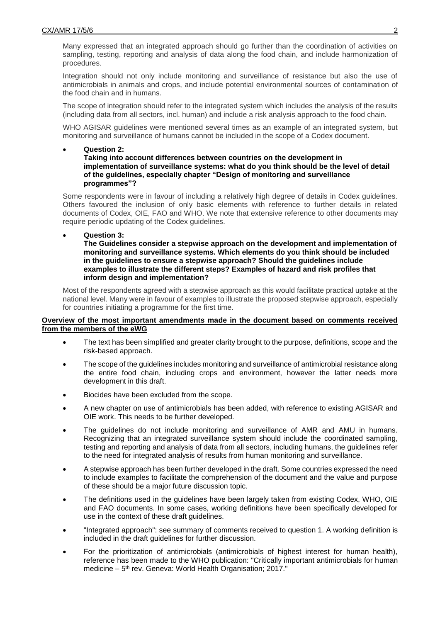Many expressed that an integrated approach should go further than the coordination of activities on sampling, testing, reporting and analysis of data along the food chain, and include harmonization of procedures.

Integration should not only include monitoring and surveillance of resistance but also the use of antimicrobials in animals and crops, and include potential environmental sources of contamination of the food chain and in humans.

The scope of integration should refer to the integrated system which includes the analysis of the results (including data from all sectors, incl. human) and include a risk analysis approach to the food chain.

WHO AGISAR guidelines were mentioned several times as an example of an integrated system, but monitoring and surveillance of humans cannot be included in the scope of a Codex document.

### **Question 2:**

**Taking into account differences between countries on the development in implementation of surveillance systems: what do you think should be the level of detail of the guidelines, especially chapter "Design of monitoring and surveillance programmes"?**

Some respondents were in favour of including a relatively high degree of details in Codex guidelines. Others favoured the inclusion of only basic elements with reference to further details in related documents of Codex, OIE, FAO and WHO. We note that extensive reference to other documents may require periodic updating of the Codex guidelines.

### **Question 3:**

**The Guidelines consider a stepwise approach on the development and implementation of monitoring and surveillance systems. Which elements do you think should be included in the guidelines to ensure a stepwise approach? Should the guidelines include examples to illustrate the different steps? Examples of hazard and risk profiles that inform design and implementation?**

Most of the respondents agreed with a stepwise approach as this would facilitate practical uptake at the national level. Many were in favour of examples to illustrate the proposed stepwise approach, especially for countries initiating a programme for the first time.

### **Overview of the most important amendments made in the document based on comments received from the members of the eWG**

- The text has been simplified and greater clarity brought to the purpose, definitions, scope and the risk-based approach.
- The scope of the guidelines includes monitoring and surveillance of antimicrobial resistance along the entire food chain, including crops and environment, however the latter needs more development in this draft.
- Biocides have been excluded from the scope.
- A new chapter on use of antimicrobials has been added, with reference to existing AGISAR and OIE work. This needs to be further developed.
- The guidelines do not include monitoring and surveillance of AMR and AMU in humans. Recognizing that an integrated surveillance system should include the coordinated sampling, testing and reporting and analysis of data from all sectors, including humans, the guidelines refer to the need for integrated analysis of results from human monitoring and surveillance.
- A stepwise approach has been further developed in the draft. Some countries expressed the need to include examples to facilitate the comprehension of the document and the value and purpose of these should be a major future discussion topic.
- The definitions used in the guidelines have been largely taken from existing Codex, WHO, OIE and FAO documents. In some cases, working definitions have been specifically developed for use in the context of these draft guidelines.
- "Integrated approach": see summary of comments received to question 1. A working definition is included in the draft guidelines for further discussion.
- For the prioritization of antimicrobials (antimicrobials of highest interest for human health), reference has been made to the WHO publication: "Critically important antimicrobials for human medicine – 5<sup>th</sup> rev. Geneva: World Health Organisation; 2017."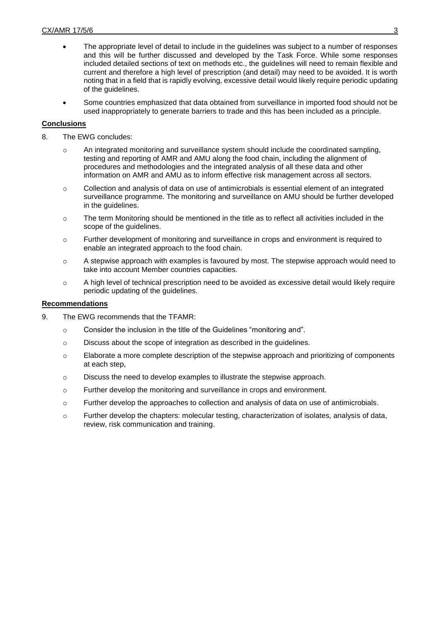- The appropriate level of detail to include in the guidelines was subject to a number of responses and this will be further discussed and developed by the Task Force. While some responses included detailed sections of text on methods etc., the guidelines will need to remain flexible and current and therefore a high level of prescription (and detail) may need to be avoided. It is worth noting that in a field that is rapidly evolving, excessive detail would likely require periodic updating of the guidelines.
- Some countries emphasized that data obtained from surveillance in imported food should not be used inappropriately to generate barriers to trade and this has been included as a principle.

# **Conclusions**

- 8. The EWG concludes:
	- o An integrated monitoring and surveillance system should include the coordinated sampling, testing and reporting of AMR and AMU along the food chain, including the alignment of procedures and methodologies and the integrated analysis of all these data and other information on AMR and AMU as to inform effective risk management across all sectors.
	- $\circ$  Collection and analysis of data on use of antimicrobials is essential element of an integrated surveillance programme. The monitoring and surveillance on AMU should be further developed in the guidelines.
	- o The term Monitoring should be mentioned in the title as to reflect all activities included in the scope of the guidelines.
	- o Further development of monitoring and surveillance in crops and environment is required to enable an integrated approach to the food chain.
	- $\circ$  A stepwise approach with examples is favoured by most. The stepwise approach would need to take into account Member countries capacities.
	- o A high level of technical prescription need to be avoided as excessive detail would likely require periodic updating of the guidelines.

### **Recommendations**

- 9. The EWG recommends that the TFAMR:
	- o Consider the inclusion in the title of the Guidelines "monitoring and".
	- o Discuss about the scope of integration as described in the guidelines.
	- $\circ$  Elaborate a more complete description of the stepwise approach and prioritizing of components at each step,
	- o Discuss the need to develop examples to illustrate the stepwise approach.
	- o Further develop the monitoring and surveillance in crops and environment.
	- $\circ$  Further develop the approaches to collection and analysis of data on use of antimicrobials.
	- o Further develop the chapters: molecular testing, characterization of isolates, analysis of data, review, risk communication and training.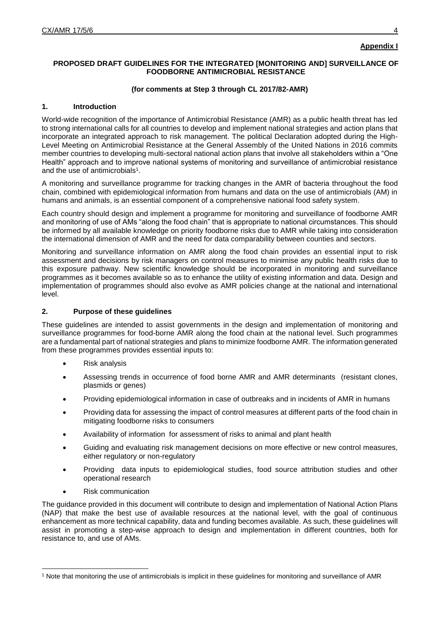# **Appendix I**

### **PROPOSED DRAFT GUIDELINES FOR THE INTEGRATED [MONITORING AND] SURVEILLANCE OF FOODBORNE ANTIMICROBIAL RESISTANCE**

### **(for comments at Step 3 through CL 2017/82-AMR)**

### **1. Introduction**

World-wide recognition of the importance of Antimicrobial Resistance (AMR) as a public health threat has led to strong international calls for all countries to develop and implement national strategies and action plans that incorporate an integrated approach to risk management. The political Declaration adopted during the High-Level Meeting on Antimicrobial Resistance at the General Assembly of the United Nations in 2016 commits member countries to developing multi-sectoral national action plans that involve all stakeholders within a "One Health" approach and to improve national systems of monitoring and surveillance of antimicrobial resistance and the use of antimicrobials<sup>1</sup>.

A monitoring and surveillance programme for tracking changes in the AMR of bacteria throughout the food chain, combined with epidemiological information from humans and data on the use of antimicrobials (AM) in humans and animals, is an essential component of a comprehensive national food safety system.

Each country should design and implement a programme for monitoring and surveillance of foodborne AMR and monitoring of use of AMs "along the food chain" that is appropriate to national circumstances. This should be informed by all available knowledge on priority foodborne risks due to AMR while taking into consideration the international dimension of AMR and the need for data comparability between counties and sectors.

Monitoring and surveillance information on AMR along the food chain provides an essential input to risk assessment and decisions by risk managers on control measures to minimise any public health risks due to this exposure pathway. New scientific knowledge should be incorporated in monitoring and surveillance programmes as it becomes available so as to enhance the utility of existing information and data. Design and implementation of programmes should also evolve as AMR policies change at the national and international level.

### **2. Purpose of these guidelines**

These guidelines are intended to assist governments in the design and implementation of monitoring and surveillance programmes for food-borne AMR along the food chain at the national level. Such programmes are a fundamental part of national strategies and plans to minimize foodborne AMR. The information generated from these programmes provides essential inputs to:

- Risk analysis
- Assessing trends in occurrence of food borne AMR and AMR determinants (resistant clones, plasmids or genes)
- Providing epidemiological information in case of outbreaks and in incidents of AMR in humans
- Providing data for assessing the impact of control measures at different parts of the food chain in mitigating foodborne risks to consumers
- Availability of information for assessment of risks to animal and plant health
- Guiding and evaluating risk management decisions on more effective or new control measures, either regulatory or non-regulatory
- Providing data inputs to epidemiological studies, food source attribution studies and other operational research
- Risk communication

-

The guidance provided in this document will contribute to design and implementation of National Action Plans (NAP) that make the best use of available resources at the national level, with the goal of continuous enhancement as more technical capability, data and funding becomes available. As such, these guidelines will assist in promoting a step-wise approach to design and implementation in different countries, both for resistance to, and use of AMs.

<sup>1</sup> Note that monitoring the use of antimicrobials is implicit in these guidelines for monitoring and surveillance of AMR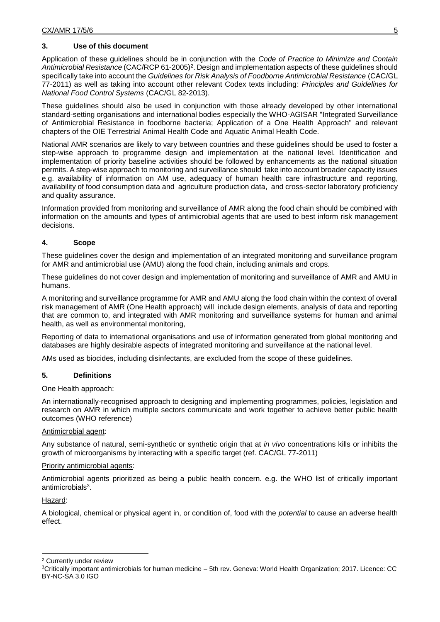### **3. Use of this document**

Application of these guidelines should be in conjunction with the *Code of Practice to Minimize and Contain*  Antimicrobial Resistance (CAC/RCP 61-2005)<sup>2</sup>. Design and implementation aspects of these guidelines should specifically take into account the *Guidelines for Risk Analysis of Foodborne Antimicrobial Resistance* (CAC/GL 77-2011) as well as taking into account other relevant Codex texts including: *Principles and Guidelines for National Food Control Systems* (CAC/GL 82-2013).

These guidelines should also be used in conjunction with those already developed by other international standard-setting organisations and international bodies especially the WHO-AGISAR "Integrated Surveillance of Antimicrobial Resistance in foodborne bacteria; Application of a One Health Approach" and relevant chapters of the OIE Terrestrial Animal Health Code and Aquatic Animal Health Code.

National AMR scenarios are likely to vary between countries and these guidelines should be used to foster a step-wise approach to programme design and implementation at the national level. Identification and implementation of priority baseline activities should be followed by enhancements as the national situation permits. A step-wise approach to monitoring and surveillance should take into account broader capacity issues e.g. availability of information on AM use, adequacy of human health care infrastructure and reporting, availability of food consumption data and agriculture production data, and cross-sector laboratory proficiency and quality assurance.

Information provided from monitoring and surveillance of AMR along the food chain should be combined with information on the amounts and types of antimicrobial agents that are used to best inform risk management decisions.

# **4. Scope**

These guidelines cover the design and implementation of an integrated monitoring and surveillance program for AMR and antimicrobial use (AMU) along the food chain, including animals and crops.

These guidelines do not cover design and implementation of monitoring and surveillance of AMR and AMU in humans.

A monitoring and surveillance programme for AMR and AMU along the food chain within the context of overall risk management of AMR (One Health approach) will include design elements, analysis of data and reporting that are common to, and integrated with AMR monitoring and surveillance systems for human and animal health, as well as environmental monitoring,

Reporting of data to international organisations and use of information generated from global monitoring and databases are highly desirable aspects of integrated monitoring and surveillance at the national level.

AMs used as biocides, including disinfectants, are excluded from the scope of these guidelines.

### **5. Definitions**

# One Health approach:

An internationally-recognised approach to designing and implementing programmes, policies, legislation and research on AMR in which multiple sectors communicate and work together to achieve better public health outcomes (WHO reference)

### Antimicrobial agent:

Any substance of natural, semi-synthetic or synthetic origin that at *in vivo* concentrations kills or inhibits the growth of microorganisms by interacting with a specific target (ref. CAC/GL 77-2011)

### Priority antimicrobial agents:

Antimicrobial agents prioritized as being a public health concern. e.g. the WHO list of critically important antimicrobials<sup>3</sup>.

# Hazard:

A biological, chemical or physical agent in, or condition of, food with the *potential* to cause an adverse health effect.

<sup>-</sup><sup>2</sup> Currently under review

<sup>3</sup>Critically important antimicrobials for human medicine – 5th rev. Geneva: World Health Organization; 2017. Licence: CC BY-NC-SA 3.0 IGO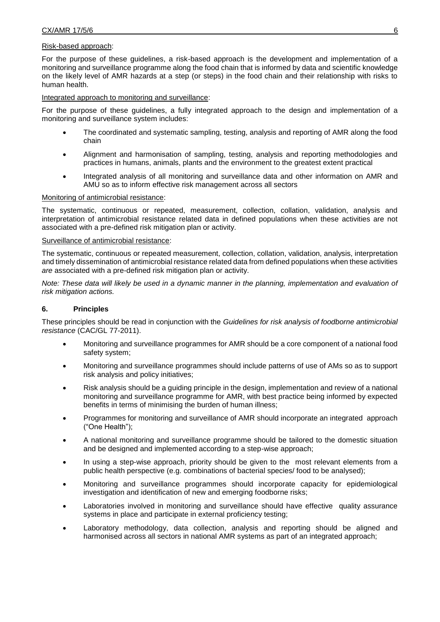### Risk-based approach:

For the purpose of these guidelines, a risk-based approach is the development and implementation of a monitoring and surveillance programme along the food chain that is informed by data and scientific knowledge on the likely level of AMR hazards at a step (or steps) in the food chain and their relationship with risks to human health.

### Integrated approach to monitoring and surveillance:

For the purpose of these guidelines, a fully integrated approach to the design and implementation of a monitoring and surveillance system includes:

- The coordinated and systematic sampling, testing, analysis and reporting of AMR along the food chain
- Alignment and harmonisation of sampling, testing, analysis and reporting methodologies and practices in humans, animals, plants and the environment to the greatest extent practical
- Integrated analysis of all monitoring and surveillance data and other information on AMR and AMU so as to inform effective risk management across all sectors

### Monitoring of antimicrobial resistance:

The systematic, continuous or repeated, measurement, collection, collation, validation, analysis and interpretation of antimicrobial resistance related data in defined populations when these activities are not associated with a pre-defined risk mitigation plan or activity.

### Surveillance of antimicrobial resistance:

The systematic, continuous or repeated measurement, collection, collation, validation, analysis, interpretation and timely dissemination of antimicrobial resistance related data from defined populations when these activities *are* associated with a pre-defined risk mitigation plan or activity.

*Note: These data will likely be used in a dynamic manner in the planning, implementation and evaluation of risk mitigation actions.*

### **6. Principles**

These principles should be read in conjunction with the *Guidelines for risk analysis of foodborne antimicrobial resistance* (CAC/GL 77-2011).

- Monitoring and surveillance programmes for AMR should be a core component of a national food safety system;
- Monitoring and surveillance programmes should include patterns of use of AMs so as to support risk analysis and policy initiatives;
- Risk analysis should be a guiding principle in the design, implementation and review of a national monitoring and surveillance programme for AMR, with best practice being informed by expected benefits in terms of minimising the burden of human illness;
- Programmes for monitoring and surveillance of AMR should incorporate an integrated approach ("One Health");
- A national monitoring and surveillance programme should be tailored to the domestic situation and be designed and implemented according to a step-wise approach;
- In using a step-wise approach, priority should be given to the most relevant elements from a public health perspective (e.g. combinations of bacterial species/ food to be analysed);
- Monitoring and surveillance programmes should incorporate capacity for epidemiological investigation and identification of new and emerging foodborne risks;
- Laboratories involved in monitoring and surveillance should have effective quality assurance systems in place and participate in external proficiency testing;
- Laboratory methodology, data collection, analysis and reporting should be aligned and harmonised across all sectors in national AMR systems as part of an integrated approach;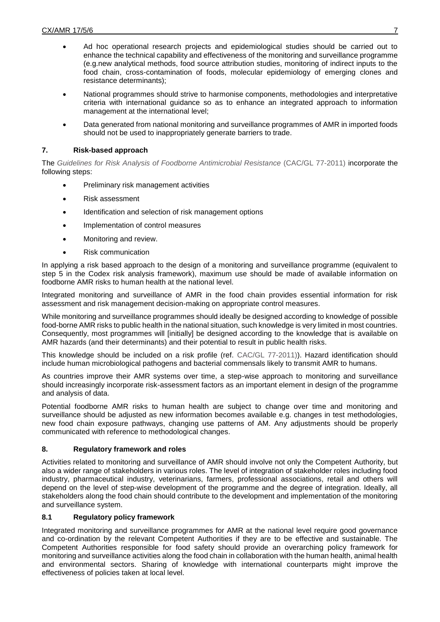- Ad hoc operational research projects and epidemiological studies should be carried out to enhance the technical capability and effectiveness of the monitoring and surveillance programme (e.g.new analytical methods, food source attribution studies, monitoring of indirect inputs to the food chain, cross-contamination of foods, molecular epidemiology of emerging clones and resistance determinants);
- National programmes should strive to harmonise components, methodologies and interpretative criteria with international guidance so as to enhance an integrated approach to information management at the international level;
- Data generated from national monitoring and surveillance programmes of AMR in imported foods should not be used to inappropriately generate barriers to trade.

# **7. Risk-based approach**

The *Guidelines for Risk Analysis of Foodborne Antimicrobial Resistance* (CAC/GL 77-2011) incorporate the following steps:

- Preliminary risk management activities
- Risk assessment
- Identification and selection of risk management options
- Implementation of control measures
- Monitoring and review.
- Risk communication

In applying a risk based approach to the design of a monitoring and surveillance programme (equivalent to step 5 in the Codex risk analysis framework), maximum use should be made of available information on foodborne AMR risks to human health at the national level.

Integrated monitoring and surveillance of AMR in the food chain provides essential information for risk assessment and risk management decision-making on appropriate control measures.

While monitoring and surveillance programmes should ideally be designed according to knowledge of possible food-borne AMR risks to public health in the national situation, such knowledge is very limited in most countries. Consequently, most programmes will [initially] be designed according to the knowledge that is available on AMR hazards (and their determinants) and their potential to result in public health risks.

This knowledge should be included on a risk profile (ref. CAC/GL 77-2011)). Hazard identification should include human microbiological pathogens and bacterial commensals likely to transmit AMR to humans.

As countries improve their AMR systems over time, a step-wise approach to monitoring and surveillance should increasingly incorporate risk-assessment factors as an important element in design of the programme and analysis of data.

Potential foodborne AMR risks to human health are subject to change over time and monitoring and surveillance should be adjusted as new information becomes available e.g. changes in test methodologies, new food chain exposure pathways, changing use patterns of AM. Any adjustments should be properly communicated with reference to methodological changes.

# **8. Regulatory framework and roles**

Activities related to monitoring and surveillance of AMR should involve not only the Competent Authority, but also a wider range of stakeholders in various roles. The level of integration of stakeholder roles including food industry, pharmaceutical industry, veterinarians, farmers, professional associations, retail and others will depend on the level of step-wise development of the programme and the degree of integration. Ideally, all stakeholders along the food chain should contribute to the development and implementation of the monitoring and surveillance system.

# **8.1 Regulatory policy framework**

Integrated monitoring and surveillance programmes for AMR at the national level require good governance and co-ordination by the relevant Competent Authorities if they are to be effective and sustainable. The Competent Authorities responsible for food safety should provide an overarching policy framework for monitoring and surveillance activities along the food chain in collaboration with the human health, animal health and environmental sectors. Sharing of knowledge with international counterparts might improve the effectiveness of policies taken at local level.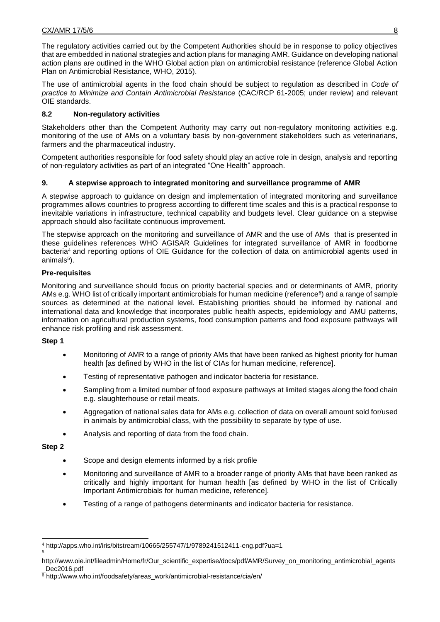The regulatory activities carried out by the Competent Authorities should be in response to policy objectives that are embedded in national strategies and action plans for managing AMR. Guidance on developing national action plans are outlined in the WHO Global action plan on antimicrobial resistance (reference Global Action Plan on Antimicrobial Resistance, WHO, 2015).

The use of antimicrobial agents in the food chain should be subject to regulation as described in *Code of practice to Minimize and Contain Antimicrobial Resistance* (CAC/RCP 61-2005; under review) and relevant OIE standards.

# **8.2 Non-regulatory activities**

Stakeholders other than the Competent Authority may carry out non-regulatory monitoring activities e.g. monitoring of the use of AMs on a voluntary basis by non-government stakeholders such as veterinarians, farmers and the pharmaceutical industry.

Competent authorities responsible for food safety should play an active role in design, analysis and reporting of non-regulatory activities as part of an integrated "One Health" approach.

# **9. A stepwise approach to integrated monitoring and surveillance programme of AMR**

A stepwise approach to guidance on design and implementation of integrated monitoring and surveillance programmes allows countries to progress according to different time scales and this is a practical response to inevitable variations in infrastructure, technical capability and budgets level. Clear guidance on a stepwise approach should also facilitate continuous improvement.

The stepwise approach on the monitoring and surveillance of AMR and the use of AMs that is presented in these guidelines references WHO AGISAR Guidelines for integrated surveillance of AMR in foodborne bacteria<sup>4</sup> and reporting options of OIE Guidance for the collection of data on antimicrobial agents used in animals<sup>5</sup>).

# **Pre-requisites**

Monitoring and surveillance should focus on priority bacterial species and or determinants of AMR, priority AMs e.g. WHO list of critically important antimicrobials for human medicine (reference<sup>6</sup>) and a range of sample sources as determined at the national level. Establishing priorities should be informed by national and international data and knowledge that incorporates public health aspects, epidemiology and AMU patterns, information on agricultural production systems, food consumption patterns and food exposure pathways will enhance risk profiling and risk assessment.

# **Step 1**

- Monitoring of AMR to a range of priority AMs that have been ranked as highest priority for human health [as defined by WHO in the list of CIAs for human medicine, reference].
- Testing of representative pathogen and indicator bacteria for resistance.
- Sampling from a limited number of food exposure pathways at limited stages along the food chain e.g. slaughterhouse or retail meats.
- Aggregation of national sales data for AMs e.g. collection of data on overall amount sold for/used in animals by antimicrobial class, with the possibility to separate by type of use.
- Analysis and reporting of data from the food chain.

# **Step 2**

-

- Scope and design elements informed by a risk profile
- Monitoring and surveillance of AMR to a broader range of priority AMs that have been ranked as critically and highly important for human health [as defined by WHO in the list of Critically Important Antimicrobials for human medicine, reference].
- Testing of a range of pathogens determinants and indicator bacteria for resistance.

<sup>4</sup> http://apps.who.int/iris/bitstream/10665/255747/1/9789241512411-eng.pdf?ua=1 5

http://www.oie.int/fileadmin/Home/fr/Our\_scientific\_expertise/docs/pdf/AMR/Survey\_on\_monitoring\_antimicrobial\_agents Dec2016.pdf

<sup>6</sup> http://www.who.int/foodsafety/areas\_work/antimicrobial-resistance/cia/en/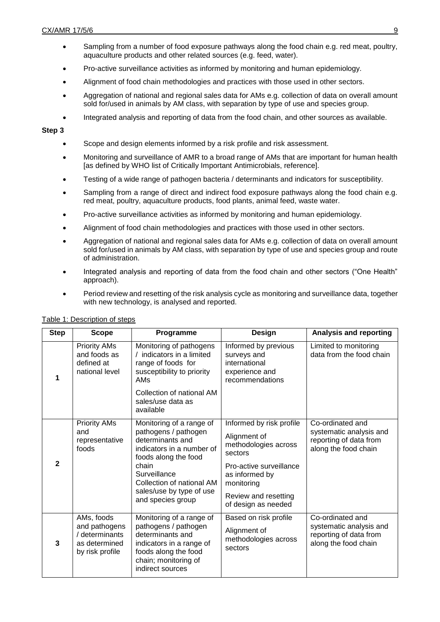- Sampling from a number of food exposure pathways along the food chain e.g. red meat, poultry, aquaculture products and other related sources (e.g. feed, water).
- Pro-active surveillance activities as informed by monitoring and human epidemiology.
- Alignment of food chain methodologies and practices with those used in other sectors.
- Aggregation of national and regional sales data for AMs e.g. collection of data on overall amount sold for/used in animals by AM class, with separation by type of use and species group.
- Integrated analysis and reporting of data from the food chain, and other sources as available.

**Step 3**

- Scope and design elements informed by a risk profile and risk assessment.
- Monitoring and surveillance of AMR to a broad range of AMs that are important for human health [as defined by WHO list of Critically Important Antimicrobials, reference].
- Testing of a wide range of pathogen bacteria / determinants and indicators for susceptibility.
- Sampling from a range of direct and indirect food exposure pathways along the food chain e.g. red meat, poultry, aquaculture products, food plants, animal feed, waste water.
- Pro-active surveillance activities as informed by monitoring and human epidemiology.
- Alignment of food chain methodologies and practices with those used in other sectors.
- Aggregation of national and regional sales data for AMs e.g. collection of data on overall amount sold for/used in animals by AM class, with separation by type of use and species group and route of administration.
- Integrated analysis and reporting of data from the food chain and other sectors ("One Health" approach).
- Period review and resetting of the risk analysis cycle as monitoring and surveillance data, together with new technology, is analysed and reported.

| <b>Step</b>    | <b>Scope</b>                                                        | Programme                                                                                                                                                                                            | Design                                                                                    | Analysis and reporting                                                    |
|----------------|---------------------------------------------------------------------|------------------------------------------------------------------------------------------------------------------------------------------------------------------------------------------------------|-------------------------------------------------------------------------------------------|---------------------------------------------------------------------------|
|                | <b>Priority AMs</b><br>and foods as<br>defined at<br>national level | Monitoring of pathogens<br>/ indicators in a limited<br>range of foods for<br>susceptibility to priority<br>AMs<br>Collection of national AM                                                         | Informed by previous<br>surveys and<br>international<br>experience and<br>recommendations | Limited to monitoring<br>data from the food chain                         |
|                |                                                                     | sales/use data as<br>available                                                                                                                                                                       |                                                                                           |                                                                           |
|                | <b>Priority AMs</b>                                                 | Monitoring of a range of                                                                                                                                                                             | Informed by risk profile                                                                  | Co-ordinated and                                                          |
| $\mathbf{2}$   | and<br>representative<br>foods                                      | pathogens / pathogen<br>determinants and<br>indicators in a number of<br>foods along the food<br>chain<br>Surveillance<br>Collection of national AM<br>sales/use by type of use<br>and species group | Alignment of<br>methodologies across<br>sectors                                           | systematic analysis and<br>reporting of data from<br>along the food chain |
|                |                                                                     |                                                                                                                                                                                                      | Pro-active surveillance<br>as informed by<br>monitoring                                   |                                                                           |
|                |                                                                     |                                                                                                                                                                                                      | Review and resetting<br>of design as needed                                               |                                                                           |
|                | AMs, foods<br>and pathogens                                         | Monitoring of a range of<br>pathogens / pathogen                                                                                                                                                     | Based on risk profile<br>Alignment of                                                     | Co-ordinated and<br>systematic analysis and                               |
| $\overline{3}$ | / determinants<br>as determined<br>by risk profile                  | determinants and<br>indicators in a range of<br>foods along the food<br>chain; monitoring of<br>indirect sources                                                                                     | methodologies across<br>sectors                                                           | reporting of data from<br>along the food chain                            |

#### Table 1: Description of steps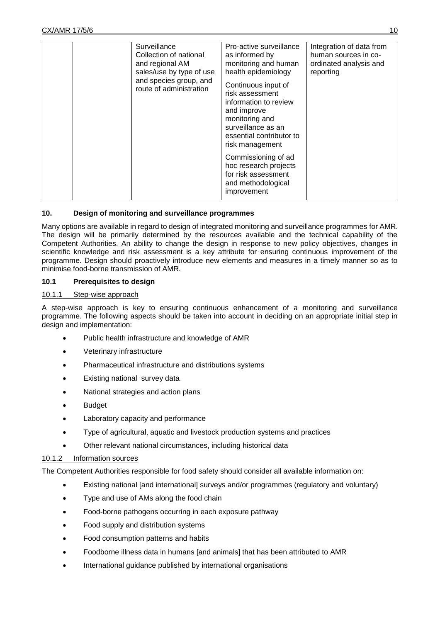| Surveillance<br>Collection of national<br>and regional AM<br>sales/use by type of use<br>and species group, and<br>route of administration | Pro-active surveillance<br>as informed by<br>monitoring and human<br>health epidemiology<br>Continuous input of<br>risk assessment<br>information to review<br>and improve<br>monitoring and<br>surveillance as an<br>essential contributor to<br>risk management<br>Commissioning of ad<br>hoc research projects<br>for risk assessment<br>and methodological<br>improvement | Integration of data from<br>human sources in co-<br>ordinated analysis and<br>reporting |
|--------------------------------------------------------------------------------------------------------------------------------------------|-------------------------------------------------------------------------------------------------------------------------------------------------------------------------------------------------------------------------------------------------------------------------------------------------------------------------------------------------------------------------------|-----------------------------------------------------------------------------------------|

# **10. Design of monitoring and surveillance programmes**

Many options are available in regard to design of integrated monitoring and surveillance programmes for AMR. The design will be primarily determined by the resources available and the technical capability of the Competent Authorities. An ability to change the design in response to new policy objectives, changes in scientific knowledge and risk assessment is a key attribute for ensuring continuous improvement of the programme. Design should proactively introduce new elements and measures in a timely manner so as to minimise food-borne transmission of AMR.

### **10.1 Prerequisites to design**

### 10.1.1 Step-wise approach

A step-wise approach is key to ensuring continuous enhancement of a monitoring and surveillance programme. The following aspects should be taken into account in deciding on an appropriate initial step in design and implementation:

- Public health infrastructure and knowledge of AMR
- Veterinary infrastructure
- Pharmaceutical infrastructure and distributions systems
- Existing national survey data
- National strategies and action plans
- Budget
- Laboratory capacity and performance
- Type of agricultural, aquatic and livestock production systems and practices
- Other relevant national circumstances, including historical data

# 10.1.2 Information sources

The Competent Authorities responsible for food safety should consider all available information on:

- Existing national [and international] surveys and/or programmes (regulatory and voluntary)
- Type and use of AMs along the food chain
- Food-borne pathogens occurring in each exposure pathway
- Food supply and distribution systems
- Food consumption patterns and habits
- Foodborne illness data in humans [and animals] that has been attributed to AMR
- International guidance published by international organisations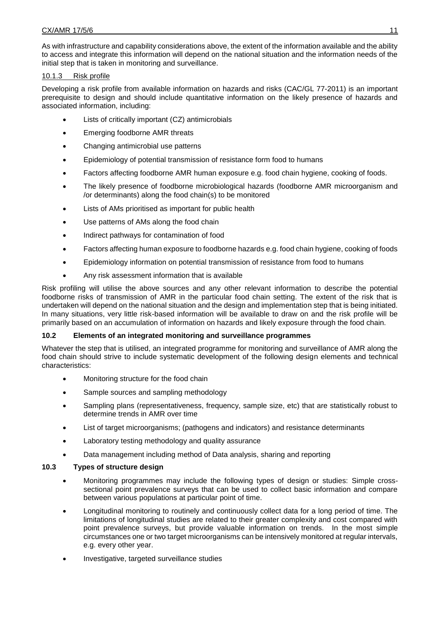As with infrastructure and capability considerations above, the extent of the information available and the ability to access and integrate this information will depend on the national situation and the information needs of the initial step that is taken in monitoring and surveillance.

# 10.1.3 Risk profile

Developing a risk profile from available information on hazards and risks (CAC/GL 77-2011) is an important prerequisite to design and should include quantitative information on the likely presence of hazards and associated information, including:

- Lists of critically important (CZ) antimicrobials
- Emerging foodborne AMR threats
- Changing antimicrobial use patterns
- Epidemiology of potential transmission of resistance form food to humans
- Factors affecting foodborne AMR human exposure e.g. food chain hygiene, cooking of foods.
- The likely presence of foodborne microbiological hazards (foodborne AMR microorganism and /or determinants) along the food chain(s) to be monitored
- Lists of AMs prioritised as important for public health
- Use patterns of AMs along the food chain
- Indirect pathways for contamination of food
- Factors affecting human exposure to foodborne hazards e.g. food chain hygiene, cooking of foods
- Epidemiology information on potential transmission of resistance from food to humans
- Any risk assessment information that is available

Risk profiling will utilise the above sources and any other relevant information to describe the potential foodborne risks of transmission of AMR in the particular food chain setting. The extent of the risk that is undertaken will depend on the national situation and the design and implementation step that is being initiated. In many situations, very little risk-based information will be available to draw on and the risk profile will be primarily based on an accumulation of information on hazards and likely exposure through the food chain.

# **10.2 Elements of an integrated monitoring and surveillance programmes**

Whatever the step that is utilised, an integrated programme for monitoring and surveillance of AMR along the food chain should strive to include systematic development of the following design elements and technical characteristics:

- Monitoring structure for the food chain
- Sample sources and sampling methodology
- Sampling plans (representativeness, frequency, sample size, etc) that are statistically robust to determine trends in AMR over time
- List of target microorganisms; (pathogens and indicators) and resistance determinants
- Laboratory testing methodology and quality assurance
- Data management including method of Data analysis, sharing and reporting

# **10.3 Types of structure design**

- Monitoring programmes may include the following types of design or studies: Simple crosssectional point prevalence surveys that can be used to collect basic information and compare between various populations at particular point of time.
- Longitudinal monitoring to routinely and continuously collect data for a long period of time. The limitations of longitudinal studies are related to their greater complexity and cost compared with point prevalence surveys, but provide valuable information on trends. In the most simple circumstances one or two target microorganisms can be intensively monitored at regular intervals, e.g. every other year.
- Investigative, targeted surveillance studies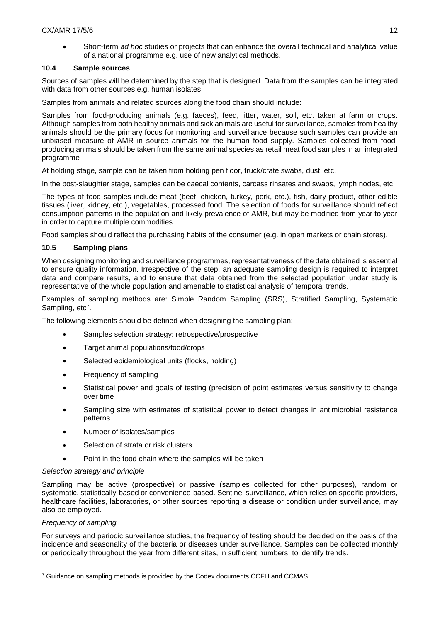Short-term *ad hoc* studies or projects that can enhance the overall technical and analytical value of a national programme e.g. use of new analytical methods.

# **10.4 Sample sources**

Sources of samples will be determined by the step that is designed. Data from the samples can be integrated with data from other sources e.g. human isolates.

Samples from animals and related sources along the food chain should include:

Samples from food-producing animals (e.g. faeces), feed, litter, water, soil, etc. taken at farm or crops. Although samples from both healthy animals and sick animals are useful for surveillance, samples from healthy animals should be the primary focus for monitoring and surveillance because such samples can provide an unbiased measure of AMR in source animals for the human food supply. Samples collected from foodproducing animals should be taken from the same animal species as retail meat food samples in an integrated programme

At holding stage, sample can be taken from holding pen floor, truck/crate swabs, dust, etc.

In the post-slaughter stage, samples can be caecal contents, carcass rinsates and swabs, lymph nodes, etc.

The types of food samples include meat (beef, chicken, turkey, pork, etc.), fish, dairy product, other edible tissues (liver, kidney, etc.), vegetables, processed food. The selection of foods for surveillance should reflect consumption patterns in the population and likely prevalence of AMR, but may be modified from year to year in order to capture multiple commodities.

Food samples should reflect the purchasing habits of the consumer (e.g. in open markets or chain stores).

# **10.5 Sampling plans**

When designing monitoring and surveillance programmes, representativeness of the data obtained is essential to ensure quality information. Irrespective of the step, an adequate sampling design is required to interpret data and compare results, and to ensure that data obtained from the selected population under study is representative of the whole population and amenable to statistical analysis of temporal trends.

Examples of sampling methods are: Simple Random Sampling (SRS), Stratified Sampling, Systematic Sampling, etc<sup>7</sup>.

The following elements should be defined when designing the sampling plan:

- Samples selection strategy: retrospective/prospective
- Target animal populations/food/crops
- Selected epidemiological units (flocks, holding)
- Frequency of sampling
- Statistical power and goals of testing (precision of point estimates versus sensitivity to change over time
- Sampling size with estimates of statistical power to detect changes in antimicrobial resistance patterns.
- Number of isolates/samples
- Selection of strata or risk clusters
- Point in the food chain where the samples will be taken

# *Selection strategy and principle*

Sampling may be active (prospective) or passive (samples collected for other purposes), random or systematic, statistically-based or convenience-based. Sentinel surveillance, which relies on specific providers, healthcare facilities, laboratories, or other sources reporting a disease or condition under surveillance, may also be employed.

# *Frequency of sampling*

-

For surveys and periodic surveillance studies, the frequency of testing should be decided on the basis of the incidence and seasonality of the bacteria or diseases under surveillance. Samples can be collected monthly or periodically throughout the year from different sites, in sufficient numbers, to identify trends.

<sup>&</sup>lt;sup>7</sup> Guidance on sampling methods is provided by the Codex documents CCFH and CCMAS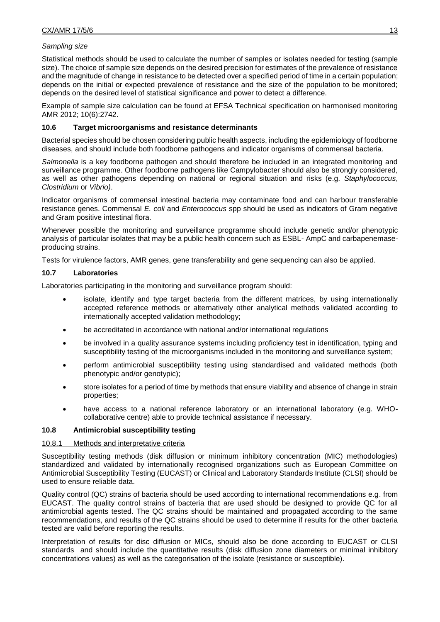# *Sampling size*

Statistical methods should be used to calculate the number of samples or isolates needed for testing (sample size). The choice of sample size depends on the desired precision for estimates of the prevalence of resistance and the magnitude of change in resistance to be detected over a specified period of time in a certain population; depends on the initial or expected prevalence of resistance and the size of the population to be monitored; depends on the desired level of statistical significance and power to detect a difference.

Example of sample size calculation can be found at EFSA Technical specification on harmonised monitoring AMR 2012; 10(6):2742.

### **10.6 Target microorganisms and resistance determinants**

Bacterial species should be chosen considering public health aspects, including the epidemiology of foodborne diseases, and should include both foodborne pathogens and indicator organisms of commensal bacteria.

*Salmonella* is a key foodborne pathogen and should therefore be included in an integrated monitoring and surveillance programme. Other foodborne pathogens like Campylobacter should also be strongly considered, as well as other pathogens depending on national or regional situation and risks (e.g. *Staphylococcus*, *Clostridium* or *Vibrio)*.

Indicator organisms of commensal intestinal bacteria may contaminate food and can harbour transferable resistance genes. Commensal *E. coli* and *Enterococcus* spp should be used as indicators of Gram negative and Gram positive intestinal flora.

Whenever possible the monitoring and surveillance programme should include genetic and/or phenotypic analysis of particular isolates that may be a public health concern such as ESBL- AmpC and carbapenemaseproducing strains.

Tests for virulence factors, AMR genes, gene transferability and gene sequencing can also be applied.

### **10.7 Laboratories**

Laboratories participating in the monitoring and surveillance program should:

- isolate, identify and type target bacteria from the different matrices, by using internationally accepted reference methods or alternatively other analytical methods validated according to internationally accepted validation methodology;
- be accreditated in accordance with national and/or international regulations
- be involved in a quality assurance systems including proficiency test in identification, typing and susceptibility testing of the microorganisms included in the monitoring and surveillance system;
- perform antimicrobial susceptibility testing using standardised and validated methods (both phenotypic and/or genotypic);
- store isolates for a period of time by methods that ensure viability and absence of change in strain properties;
- have access to a national reference laboratory or an international laboratory (e.g. WHOcollaborative centre) able to provide technical assistance if necessary.

### **10.8 Antimicrobial susceptibility testing**

### 10.8.1 Methods and interpretative criteria

Susceptibility testing methods (disk diffusion or minimum inhibitory concentration (MIC) methodologies) standardized and validated by internationally recognised organizations such as European Committee on Antimicrobial Susceptibility Testing (EUCAST) or Clinical and Laboratory Standards Institute (CLSI) should be used to ensure reliable data.

Quality control (QC) strains of bacteria should be used according to international recommendations e.g. from EUCAST. The quality control strains of bacteria that are used should be designed to provide QC for all antimicrobial agents tested. The QC strains should be maintained and propagated according to the same recommendations, and results of the QC strains should be used to determine if results for the other bacteria tested are valid before reporting the results.

Interpretation of results for disc diffusion or MICs, should also be done according to EUCAST or CLSI standards and should include the quantitative results (disk diffusion zone diameters or minimal inhibitory concentrations values) as well as the categorisation of the isolate (resistance or susceptible).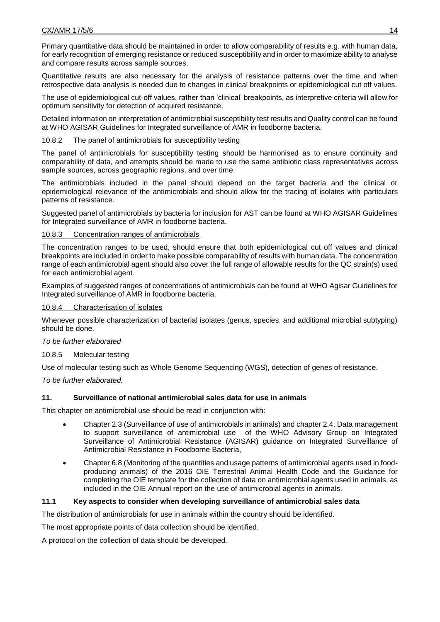Primary quantitative data should be maintained in order to allow comparability of results e.g. with human data, for early recognition of emerging resistance or reduced susceptibility and in order to maximize ability to analyse and compare results across sample sources.

Quantitative results are also necessary for the analysis of resistance patterns over the time and when retrospective data analysis is needed due to changes in clinical breakpoints or epidemiological cut off values.

The use of epidemiological cut-off values, rather than 'clinical' breakpoints, as interpretive criteria will allow for optimum sensitivity for detection of acquired resistance.

Detailed information on interpretation of antimicrobial susceptibility test results and Quality control can be found at WHO AGISAR Guidelines for Integrated surveillance of AMR in foodborne bacteria.

### 10.8.2 The panel of antimicrobials for susceptibility testing

The panel of antimicrobials for susceptibility testing should be harmonised as to ensure continuity and comparability of data, and attempts should be made to use the same antibiotic class representatives across sample sources, across geographic regions, and over time.

The antimicrobials included in the panel should depend on the target bacteria and the clinical or epidemiological relevance of the antimicrobials and should allow for the tracing of isolates with particulars patterns of resistance.

Suggested panel of antimicrobials by bacteria for inclusion for AST can be found at WHO AGISAR Guidelines for Integrated surveillance of AMR in foodborne bacteria.

### 10.8.3 Concentration ranges of antimicrobials

The concentration ranges to be used, should ensure that both epidemiological cut off values and clinical breakpoints are included in order to make possible comparability of results with human data. The concentration range of each antimicrobial agent should also cover the full range of allowable results for the QC strain(s) used for each antimicrobial agent.

Examples of suggested ranges of concentrations of antimicrobials can be found at WHO Agisar Guidelines for Integrated surveillance of AMR in foodborne bacteria.

### 10.8.4 Characterisation of isolates

Whenever possible characterization of bacterial isolates (genus, species, and additional microbial subtyping) should be done.

### *To be further elaborated*

### 10.8.5 Molecular testing

Use of molecular testing such as Whole Genome Sequencing (WGS), detection of genes of resistance.

*To be further elaborated.*

# **11. Surveillance of national antimicrobial sales data for use in animals**

This chapter on antimicrobial use should be read in conjunction with:

- Chapter 2.3 (Surveillance of use of antimicrobials in animals) and chapter 2.4. Data management to support surveillance of antimicrobial use of the WHO Advisory Group on Integrated Surveillance of Antimicrobial Resistance (AGISAR) guidance on Integrated Surveillance of Antimicrobial Resistance in Foodborne Bacteria,
- Chapter 6.8 (Monitoring of the quantities and usage patterns of antimicrobial agents used in foodproducing animals) of the 2016 OIE Terrestrial Animal Health Code and the Guidance for completing the OIE template for the collection of data on antimicrobial agents used in animals, as included in the OIE Annual report on the use of antimicrobial agents in animals.

# **11.1 Key aspects to consider when developing surveillance of antimicrobial sales data**

The distribution of antimicrobials for use in animals within the country should be identified.

The most appropriate points of data collection should be identified.

A protocol on the collection of data should be developed.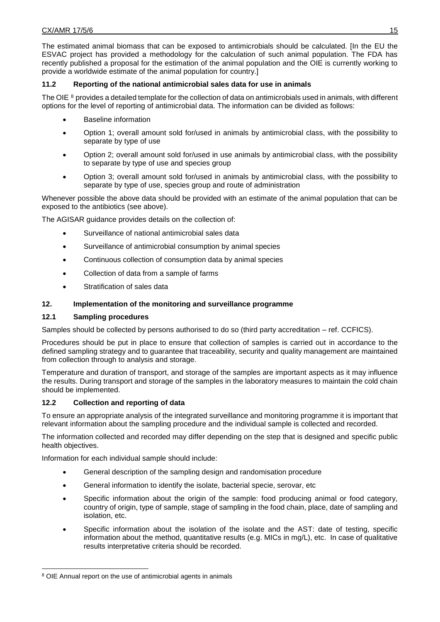The estimated animal biomass that can be exposed to antimicrobials should be calculated. [In the EU the ESVAC project has provided a methodology for the calculation of such animal population. The FDA has recently published a proposal for the estimation of the animal population and the OIE is currently working to provide a worldwide estimate of the animal population for country.]

# **11.2 Reporting of the national antimicrobial sales data for use in animals**

The OIE <sup>8</sup> provides a detailed template for the collection of data on antimicrobials used in animals, with different options for the level of reporting of antimicrobial data. The information can be divided as follows:

- Baseline information
- Option 1; overall amount sold for/used in animals by antimicrobial class, with the possibility to separate by type of use
- Option 2; overall amount sold for/used in use animals by antimicrobial class, with the possibility to separate by type of use and species group
- Option 3; overall amount sold for/used in animals by antimicrobial class, with the possibility to separate by type of use, species group and route of administration

Whenever possible the above data should be provided with an estimate of the animal population that can be exposed to the antibiotics (see above).

The AGISAR guidance provides details on the collection of:

- Surveillance of national antimicrobial sales data
- Surveillance of antimicrobial consumption by animal species
- Continuous collection of consumption data by animal species
- Collection of data from a sample of farms
- Stratification of sales data

# **12. Implementation of the monitoring and surveillance programme**

# **12.1 Sampling procedures**

Samples should be collected by persons authorised to do so (third party accreditation – ref. CCFICS).

Procedures should be put in place to ensure that collection of samples is carried out in accordance to the defined sampling strategy and to guarantee that traceability, security and quality management are maintained from collection through to analysis and storage.

Temperature and duration of transport, and storage of the samples are important aspects as it may influence the results. During transport and storage of the samples in the laboratory measures to maintain the cold chain should be implemented.

# **12.2 Collection and reporting of data**

To ensure an appropriate analysis of the integrated surveillance and monitoring programme it is important that relevant information about the sampling procedure and the individual sample is collected and recorded.

The information collected and recorded may differ depending on the step that is designed and specific public health objectives.

Information for each individual sample should include:

- General description of the sampling design and randomisation procedure
- General information to identify the isolate, bacterial specie, serovar, etc
- Specific information about the origin of the sample: food producing animal or food category, country of origin, type of sample, stage of sampling in the food chain, place, date of sampling and isolation, etc.
- Specific information about the isolation of the isolate and the AST: date of testing, specific information about the method, quantitative results (e.g. MICs in mg/L), etc. In case of qualitative results interpretative criteria should be recorded.

<sup>-</sup><sup>8</sup> OIE Annual report on the use of antimicrobial agents in animals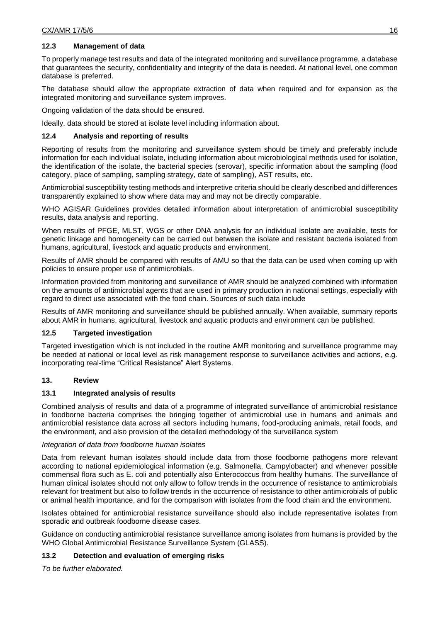# **12.3 Management of data**

To properly manage test results and data of the integrated monitoring and surveillance programme, a database that guarantees the security, confidentiality and integrity of the data is needed. At national level, one common database is preferred.

The database should allow the appropriate extraction of data when required and for expansion as the integrated monitoring and surveillance system improves.

Ongoing validation of the data should be ensured.

Ideally, data should be stored at isolate level including information about.

### **12.4 Analysis and reporting of results**

Reporting of results from the monitoring and surveillance system should be timely and preferably include information for each individual isolate, including information about microbiological methods used for isolation, the identification of the isolate, the bacterial species (serovar), specific information about the sampling (food category, place of sampling, sampling strategy, date of sampling), AST results, etc.

Antimicrobial susceptibility testing methods and interpretive criteria should be clearly described and differences transparently explained to show where data may and may not be directly comparable.

WHO AGISAR Guidelines provides detailed information about interpretation of antimicrobial susceptibility results, data analysis and reporting.

When results of PFGE, MLST, WGS or other DNA analysis for an individual isolate are available, tests for genetic linkage and homogeneity can be carried out between the isolate and resistant bacteria isolated from humans, agricultural, livestock and aquatic products and environment.

Results of AMR should be compared with results of AMU so that the data can be used when coming up with policies to ensure proper use of antimicrobials.

Information provided from monitoring and surveillance of AMR should be analyzed combined with information on the amounts of antimicrobial agents that are used in primary production in national settings, especially with regard to direct use associated with the food chain. Sources of such data include

Results of AMR monitoring and surveillance should be published annually. When available, summary reports about AMR in humans, agricultural, livestock and aquatic products and environment can be published.

### **12.5 Targeted investigation**

Targeted investigation which is not included in the routine AMR monitoring and surveillance programme may be needed at national or local level as risk management response to surveillance activities and actions, e.g. incorporating real-time "Critical Resistance" Alert Systems.

### **13. Review**

### **13.1 Integrated analysis of results**

Combined analysis of results and data of a programme of integrated surveillance of antimicrobial resistance in foodborne bacteria comprises the bringing together of antimicrobial use in humans and animals and antimicrobial resistance data across all sectors including humans, food-producing animals, retail foods, and the environment, and also provision of the detailed methodology of the surveillance system

### *Integration of data from foodborne human isolates*

Data from relevant human isolates should include data from those foodborne pathogens more relevant according to national epidemiological information (e.g. Salmonella, Campylobacter) and whenever possible commensal flora such as E. coli and potentially also Enterococcus from healthy humans. The surveillance of human clinical isolates should not only allow to follow trends in the occurrence of resistance to antimicrobials relevant for treatment but also to follow trends in the occurrence of resistance to other antimicrobials of public or animal health importance, and for the comparison with isolates from the food chain and the environment.

Isolates obtained for antimicrobial resistance surveillance should also include representative isolates from sporadic and outbreak foodborne disease cases.

Guidance on conducting antimicrobial resistance surveillance among isolates from humans is provided by the WHO Global Antimicrobial Resistance Surveillance System (GLASS).

### **13.2 Detection and evaluation of emerging risks**

*To be further elaborated.*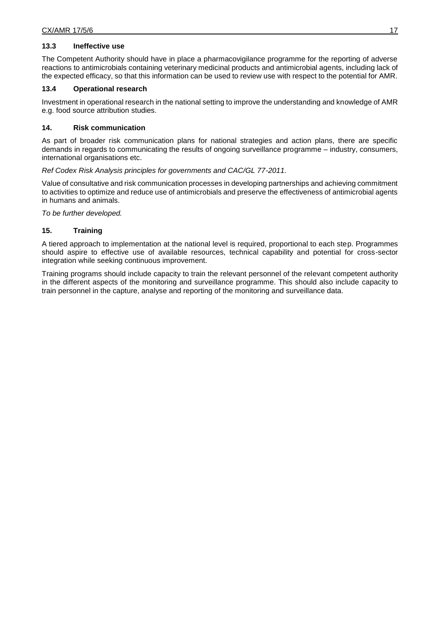### **13.3 Ineffective use**

The Competent Authority should have in place a pharmacovigilance programme for the reporting of adverse reactions to antimicrobials containing veterinary medicinal products and antimicrobial agents, including lack of the expected efficacy, so that this information can be used to review use with respect to the potential for AMR.

### **13.4 Operational research**

Investment in operational research in the national setting to improve the understanding and knowledge of AMR e.g. food source attribution studies.

### **14. Risk communication**

As part of broader risk communication plans for national strategies and action plans, there are specific demands in regards to communicating the results of ongoing surveillance programme – industry, consumers, international organisations etc.

### *Ref Codex Risk Analysis principles for governments and CAC/GL 77-2011.*

Value of consultative and risk communication processes in developing partnerships and achieving commitment to activities to optimize and reduce use of antimicrobials and preserve the effectiveness of antimicrobial agents in humans and animals.

*To be further developed.*

### **15. Training**

A tiered approach to implementation at the national level is required, proportional to each step. Programmes should aspire to effective use of available resources, technical capability and potential for cross-sector integration while seeking continuous improvement.

Training programs should include capacity to train the relevant personnel of the relevant competent authority in the different aspects of the monitoring and surveillance programme. This should also include capacity to train personnel in the capture, analyse and reporting of the monitoring and surveillance data.